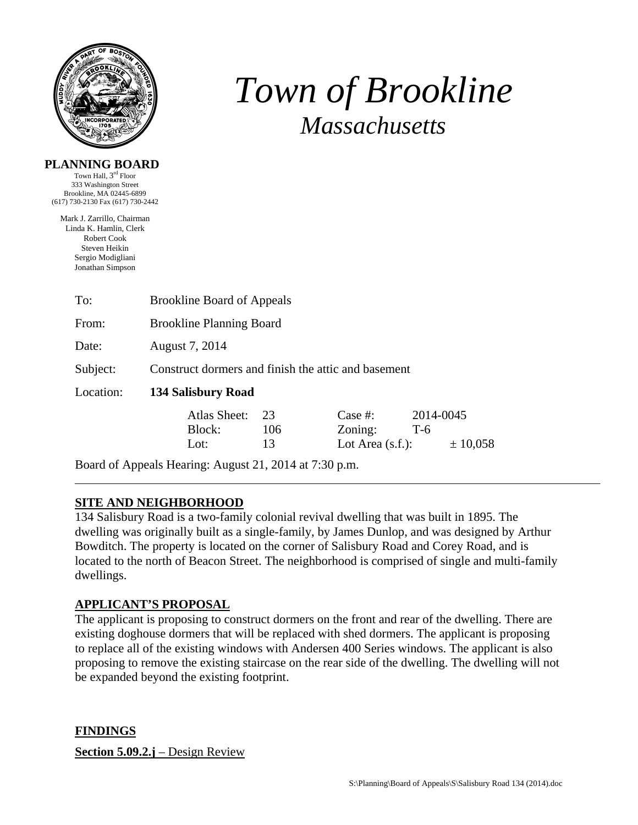

# *Town of Brookline Massachusetts*

#### **PLANNING BOARD**

Town Hall, 3<sup>rd</sup> Floor 333 Washington Street Brookline, MA 02445-6899 (617) 730-2130 Fax (617) 730-2442

Mark J. Zarrillo, Chairman Linda K. Hamlin, Clerk Robert Cook Steven Heikin Sergio Modigliani Jonathan Simpson

| To:       | <b>Brookline Board of Appeals</b>                   |                 |                                            |                                |  |  |
|-----------|-----------------------------------------------------|-----------------|--------------------------------------------|--------------------------------|--|--|
| From:     | <b>Brookline Planning Board</b>                     |                 |                                            |                                |  |  |
| Date:     | August 7, 2014                                      |                 |                                            |                                |  |  |
| Subject:  | Construct dormers and finish the attic and basement |                 |                                            |                                |  |  |
| Location: | 134 Salisbury Road                                  |                 |                                            |                                |  |  |
|           | Atlas Sheet:<br>Block:<br>Lot:                      | 23<br>106<br>13 | Case  #:<br>Zoning:<br>Lot Area $(s.f.)$ : | 2014-0045<br>$T-6$<br>± 10,058 |  |  |

Board of Appeals Hearing: August 21, 2014 at 7:30 p.m.

## **SITE AND NEIGHBORHOOD**

134 Salisbury Road is a two-family colonial revival dwelling that was built in 1895. The dwelling was originally built as a single-family, by James Dunlop, and was designed by Arthur Bowditch. The property is located on the corner of Salisbury Road and Corey Road, and is located to the north of Beacon Street. The neighborhood is comprised of single and multi-family dwellings.

# **APPLICANT'S PROPOSAL**

The applicant is proposing to construct dormers on the front and rear of the dwelling. There are existing doghouse dormers that will be replaced with shed dormers. The applicant is proposing to replace all of the existing windows with Andersen 400 Series windows. The applicant is also proposing to remove the existing staircase on the rear side of the dwelling. The dwelling will not be expanded beyond the existing footprint.

**FINDINGS** 

**Section 5.09.2.j** – Design Review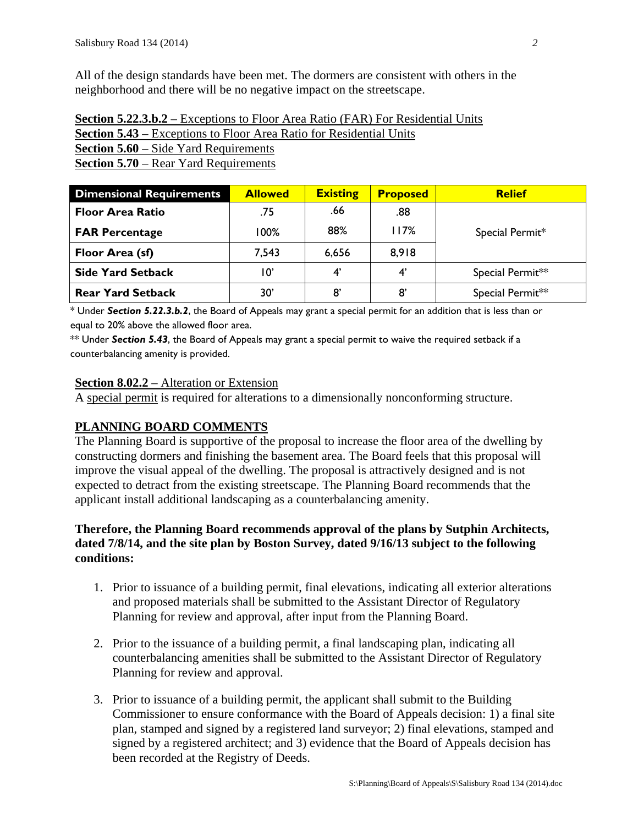All of the design standards have been met. The dormers are consistent with others in the neighborhood and there will be no negative impact on the streetscape.

| <b>Section 5.22.3.b.2</b> – Exceptions to Floor Area Ratio (FAR) For Residential Units |
|----------------------------------------------------------------------------------------|
| <b>Section 5.43</b> – Exceptions to Floor Area Ratio for Residential Units             |
| <b>Section 5.60</b> – Side Yard Requirements                                           |

**Section 5.70** – Rear Yard Requirements

| <b>Dimensional Requirements</b> | <b>Allowed</b> | <b>Existing</b> | <b>Proposed</b> | <b>Relief</b>    |  |
|---------------------------------|----------------|-----------------|-----------------|------------------|--|
| <b>Floor Area Ratio</b>         | .75            | .66             | .88             |                  |  |
| <b>FAR Percentage</b>           | 100%           | 88%             | I 17%           | Special Permit*  |  |
| Floor Area (sf)                 | 7,543          | 6,656           | 8,918           |                  |  |
| <b>Side Yard Setback</b>        | 10'            | 4'              | 4'              | Special Permit** |  |
| <b>Rear Yard Setback</b>        | 30'            | 8'              | 8'              | Special Permit** |  |

\* Under *Section 5.22.3.b.2*, the Board of Appeals may grant a special permit for an addition that is less than or equal to 20% above the allowed floor area.

\*\* Under *Section 5.43*, the Board of Appeals may grant a special permit to waive the required setback if a counterbalancing amenity is provided.

### **Section 8.02.2** – Alteration or Extension

A special permit is required for alterations to a dimensionally nonconforming structure.

## **PLANNING BOARD COMMENTS**

The Planning Board is supportive of the proposal to increase the floor area of the dwelling by constructing dormers and finishing the basement area. The Board feels that this proposal will improve the visual appeal of the dwelling. The proposal is attractively designed and is not expected to detract from the existing streetscape. The Planning Board recommends that the applicant install additional landscaping as a counterbalancing amenity.

## **Therefore, the Planning Board recommends approval of the plans by Sutphin Architects, dated 7/8/14, and the site plan by Boston Survey, dated 9/16/13 subject to the following conditions:**

- 1. Prior to issuance of a building permit, final elevations, indicating all exterior alterations and proposed materials shall be submitted to the Assistant Director of Regulatory Planning for review and approval, after input from the Planning Board.
- 2. Prior to the issuance of a building permit, a final landscaping plan, indicating all counterbalancing amenities shall be submitted to the Assistant Director of Regulatory Planning for review and approval.
- 3. Prior to issuance of a building permit, the applicant shall submit to the Building Commissioner to ensure conformance with the Board of Appeals decision: 1) a final site plan, stamped and signed by a registered land surveyor; 2) final elevations, stamped and signed by a registered architect; and 3) evidence that the Board of Appeals decision has been recorded at the Registry of Deeds.